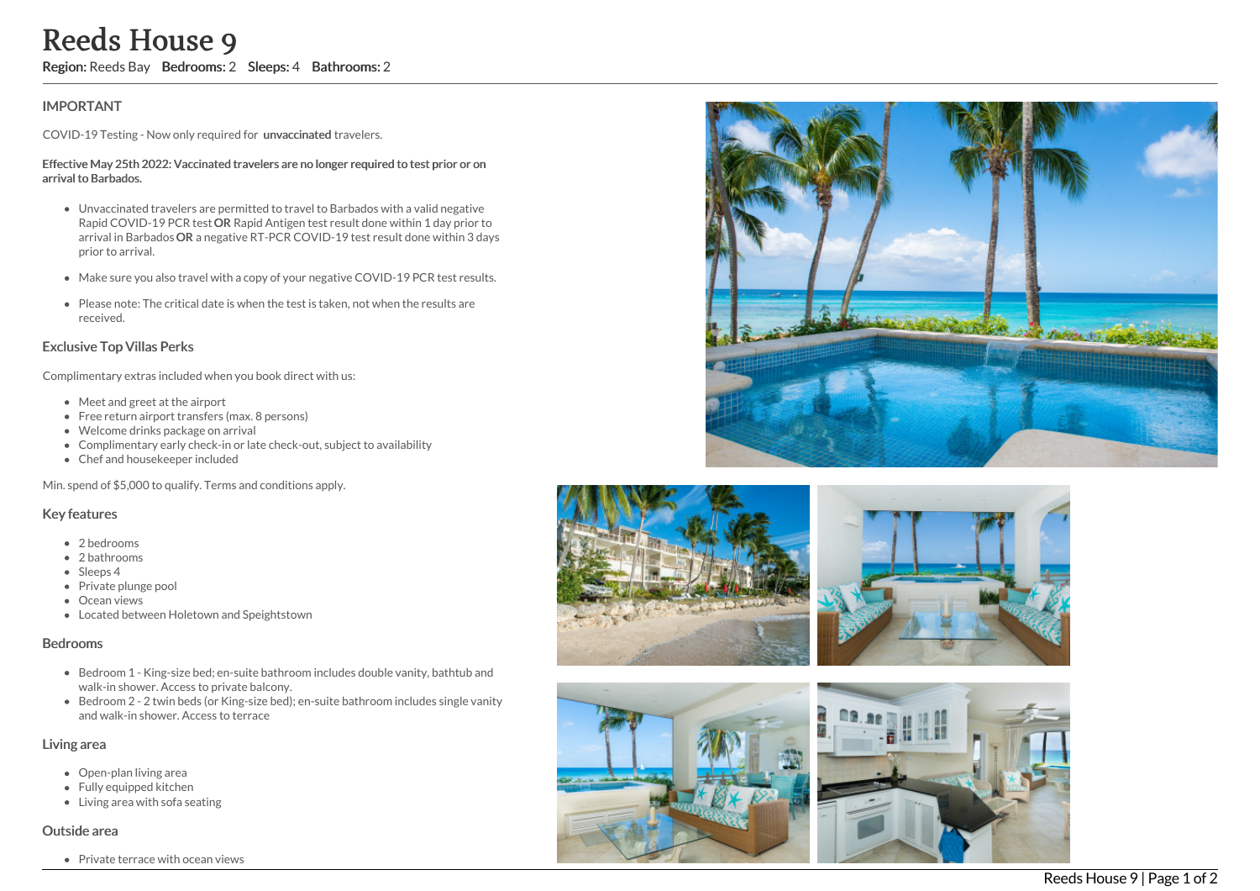# Reeds House 9

Region: Reeds Bay Bedrooms: 2 Sleeps: 4 Bathrooms: 2

## **IMPORTANT**

COVID-19 Testing - Now only required for unvaccinated travelers.

#### Effective May 25th 2022: Vaccinated travelers are no longer required to test prior or on arrival to Barbados.

- Unvaccinated travelers are permitted to travel to Barbados with a valid negative Rapid COVID-19 PCR test OR Rapid Antigen test result done within 1 day prior to arrival in Barbados OR a negative RT-PCR COVID-19 test result done within 3 days prior to arrival.
- Make sure you also travel with a copy of your negative COVID-19 PCR test results.
- Please note: The critical date is when the test is taken, not when the results are received.

## Exclusive Top Villas Perks

Complimentary extras included when you book direct with us:

- Meet and greet at the airport
- Free return airport transfers (max. 8 persons)
- Welcome drinks package on arrival
- Complimentary early check-in or late check-out, subject to availability
- Chef and housekeeper included

Min. spend of \$5,000 to qualify. Terms and conditions apply.

## Key features

- 2 bedrooms
- 2 bathrooms
- Sleeps 4
- Private plunge pool
- Ocean views
- Located between Holetown and Speightstown

#### Bedrooms

- Bedroom 1 King-size bed; en-suite bathroom includes double vanity, bathtub and walk-in shower. Access to private balcony.
- Bedroom 2 2 twin beds (or King-size bed); en-suite bathroom includes single vanit y and walk-in shower. Access to terrace

#### Living area

- Open-plan living area
- Fully equipped kitchen
- Living area with sofa seating

#### Outside area

Private terrace with ocean views